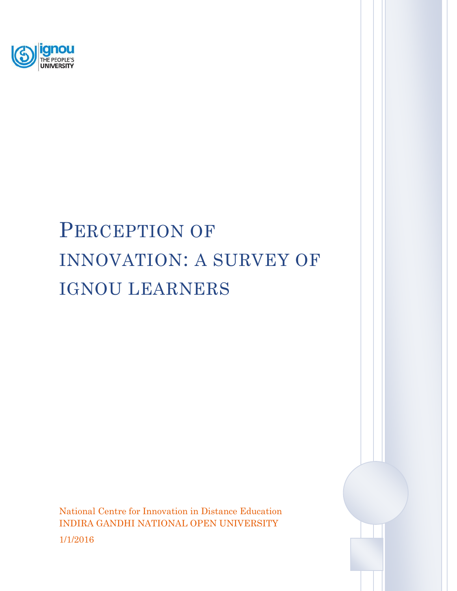

# PERCEPTION OF INNOVATION: A SURVEY OF IGNOU LEARNERS

National Centre for Innovation in Distance Education INDIRA GANDHI NATIONAL OPEN UNIVERSITY 1/1/2016

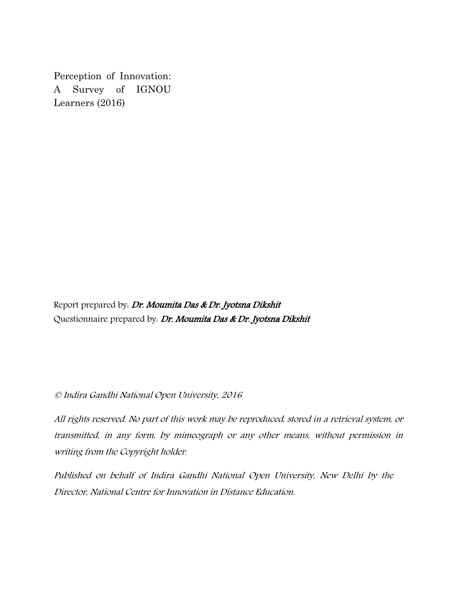Perception of Innovation: A Survey of IGNOU Learners (2016)

Report prepared by: Dr. Moumita Das & Dr. Jyotsna Dikshit Questionnaire prepared by: Dr. Moumita Das & Dr. Jyotsna Dikshit

© Indira Gandhi National Open University, 2016

All rights reserved. No part of this work may be reproduced, stored in a retrieval system, or transmitted, in any form, by mimeograph or any other means, without permission in writing from the Copyright holder.

Published on behalf of Indira Gandhi National Open University, New Delhi by the Director, National Centre for Innovation in Distance Education.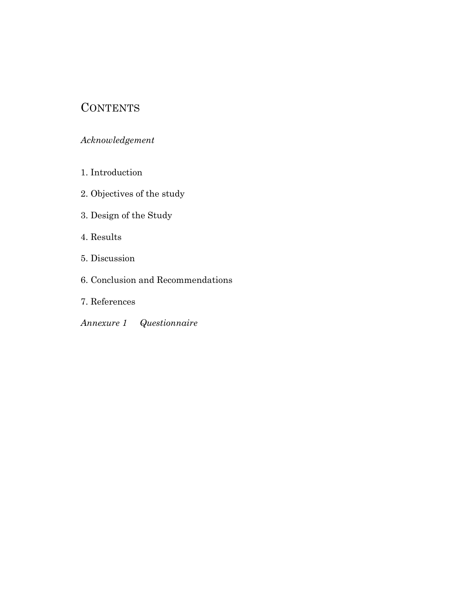# **CONTENTS**

#### *Acknowledgement*

- 1. Introduction
- 2. Objectives of the study
- 3. Design of the Study
- 4. Results
- 5. Discussion
- 6. Conclusion and Recommendations
- 7. References
- *Annexure 1 Questionnaire*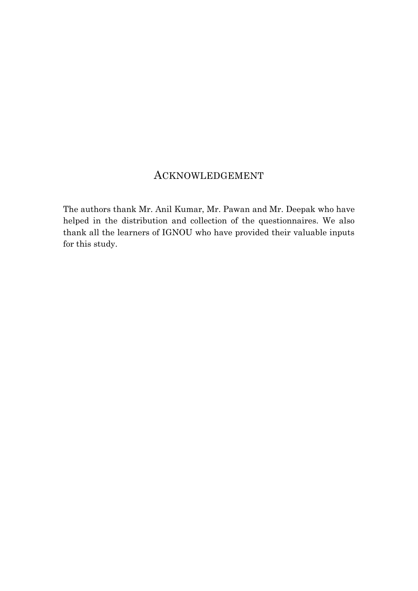# ACKNOWLEDGEMENT

The authors thank Mr. Anil Kumar, Mr. Pawan and Mr. Deepak who have helped in the distribution and collection of the questionnaires. We also thank all the learners of IGNOU who have provided their valuable inputs for this study.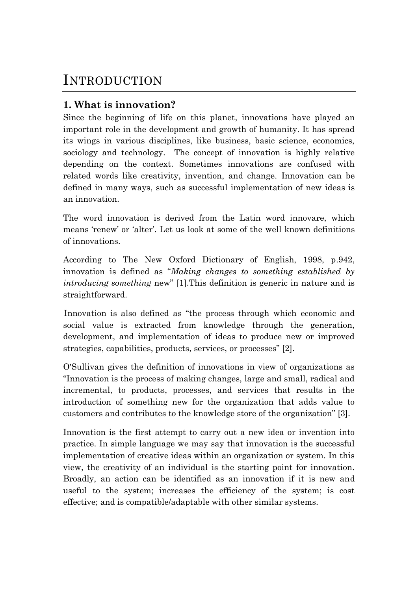# INTRODUCTION

# **1. What is innovation?**

Since the beginning of life on this planet, innovations have played an important role in the development and growth of humanity. It has spread its wings in various disciplines, like business, basic science, economics, sociology and technology. The concept of innovation is highly relative depending on the context. Sometimes innovations are confused with related words like creativity, invention, and change. Innovation can be defined in many ways, such as successful implementation of new ideas is an innovation.

The word innovation is derived from the Latin word innovare, which means 'renew' or 'alter'. Let us look at some of the well known definitions of innovations.

According to The New Oxford Dictionary of English, 1998, p.942, innovation is defined as "*Making changes to something established by introducing something* new" [1].This definition is generic in nature and is straightforward.

Innovation is also defined as "the process through which economic and social value is extracted from knowledge through the generation, development, and implementation of ideas to produce new or improved strategies, capabilities, products, services, or processes" [2].

O'Sullivan gives the definition of innovations in view of organizations as "Innovation is the process of making changes, large and small, radical and incremental, to products, processes, and services that results in the introduction of something new for the organization that adds value to customers and contributes to the knowledge store of the organization" [3].

Innovation is the first attempt to carry out a new idea or invention into practice. In simple language we may say that innovation is the successful implementation of creative ideas within an organization or system. In this view, the creativity of an individual is the starting point for innovation. Broadly, an action can be identified as an innovation if it is new and useful to the system; increases the efficiency of the system; is cost effective; and is compatible/adaptable with other similar systems.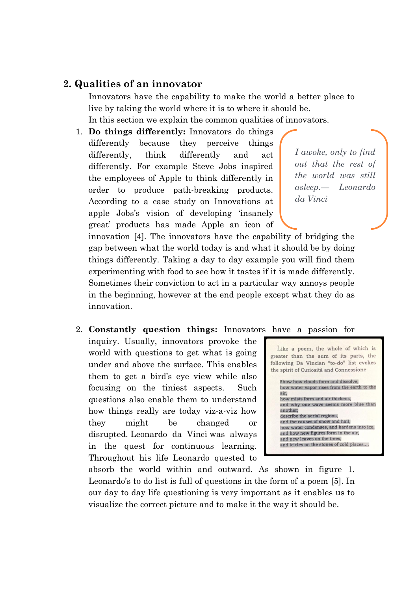#### **2. Qualities of an innovator**

Innovators have the capability to make the world a better place to live by taking the world where it is to where it should be. In this section we explain the common qualities of innovators.

1. **Do things differently:** Innovators do things differently because they perceive things differently, think differently and act differently. For example Steve Jobs inspired the employees of Apple to think differently in order to produce path-breaking products. According to a case study on Innovations at apple Jobs's vision of developing 'insanely great' products has made Apple an icon of

*I awoke, only to find out that the rest of the world was still asleep.— Leonardo da Vinci*

innovation [4]. The innovators have the capability of bridging the gap between what the world today is and what it should be by doing things differently. Taking a day to day example you will find them experimenting with food to see how it tastes if it is made differently. Sometimes their conviction to act in a particular way annoys people in the beginning, however at the end people except what they do as innovation.

#### 2. **Constantly question things:** Innovators have a passion for

inquiry. Usually, innovators provoke the world with questions to get what is going under and above the surface. This enables them to get a bird's eye view while also focusing on the tiniest aspects. Such questions also enable them to understand how things really are today viz-a-viz how they might be changed or disrupted. Leonardo da Vinci was always in the quest for continuous learning. Throughout his life Leonardo quested to



and icicles on the stones of cold places....

absorb the world within and outward. As shown in figure 1. Leonardo's to do list is full of questions in the form of a poem [5]. In our day to day life questioning is very important as it enables us to visualize the correct picture and to make it the way it should be.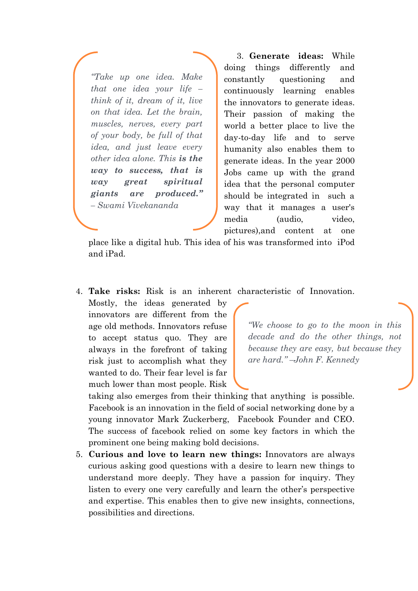*"Take up one idea. Make that one idea your life – think of it, dream of it, live on that idea. Let the brain, muscles, nerves, every part of your body, be full of that idea, and just leave every other idea alone. This is the way to success, that is way great spiritual giants are produced." – Swami Vivekananda*

3. **Generate ideas:** While doing things differently and constantly questioning and continuously learning enables the innovators to generate ideas. Their passion of making the world a better place to live the day-to-day life and to serve humanity also enables them to generate ideas. In the year 2000 Jobs came up with the grand idea that the personal computer should be integrated in such a way that it manages a user's media (audio, video, pictures),and content at one

place like a digital hub. This idea of his was transformed into iPod and iPad.

4. **Take risks:** Risk is an inherent characteristic of Innovation.

Mostly, the ideas generated by innovators are different from the age old methods. Innovators refuse to accept status quo. They are always in the forefront of taking risk just to accomplish what they wanted to do. Their fear level is far much lower than most people. Risk

*"We choose to go to the moon in this decade and do the other things, not because they are easy, but because they are hard." –John F. Kennedy*

taking also emerges from their thinking that anything is possible. Facebook is an innovation in the field of social networking done by a young innovator Mark Zuckerberg, Facebook Founder and CEO. The success of facebook relied on some key factors in which the prominent one being making bold decisions.

5. **Curious and love to learn new things:** Innovators are always curious asking good questions with a desire to learn new things to understand more deeply. They have a passion for inquiry. They listen to every one very carefully and learn the other's perspective and expertise. This enables then to give new insights, connections, possibilities and directions.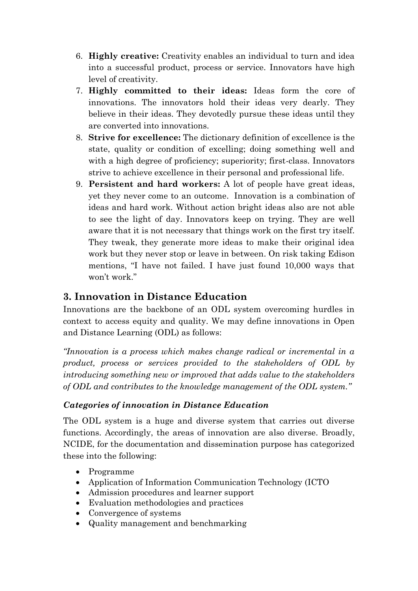- 6. **Highly creative:** Creativity enables an individual to turn and idea into a successful product, process or service. Innovators have high level of creativity.
- 7. **Highly committed to their ideas:** Ideas form the core of innovations. The innovators hold their ideas very dearly. They believe in their ideas. They devotedly pursue these ideas until they are converted into innovations.
- 8. **Strive for excellence:** The dictionary definition of excellence is the state, quality or condition of excelling; doing something well and with a high degree of proficiency; superiority; first-class. Innovators strive to achieve excellence in their personal and professional life.
- 9. **Persistent and hard workers:** A lot of people have great ideas, yet they never come to an outcome. Innovation is a combination of ideas and hard work. Without action bright ideas also are not able to see the light of day. Innovators keep on trying. They are well aware that it is not necessary that things work on the first try itself. They tweak, they generate more ideas to make their original idea work but they never stop or leave in between. On risk taking Edison mentions, "I have not failed. I have just found 10,000 ways that won't work."

### **3. Innovation in Distance Education**

Innovations are the backbone of an ODL system overcoming hurdles in context to access equity and quality. We may define innovations in Open and Distance Learning (ODL) as follows:

*"Innovation is a process which makes change radical or incremental in a product, process or services provided to the stakeholders of ODL by introducing something new or improved that adds value to the stakeholders of ODL and contributes to the knowledge management of the ODL system."*

#### *Categories of innovation in Distance Education*

The ODL system is a huge and diverse system that carries out diverse functions. Accordingly, the areas of innovation are also diverse. Broadly, NCIDE, for the documentation and dissemination purpose has categorized these into the following:

- Programme
- Application of Information Communication Technology (ICTO
- Admission procedures and learner support
- Evaluation methodologies and practices
- Convergence of systems
- Quality management and benchmarking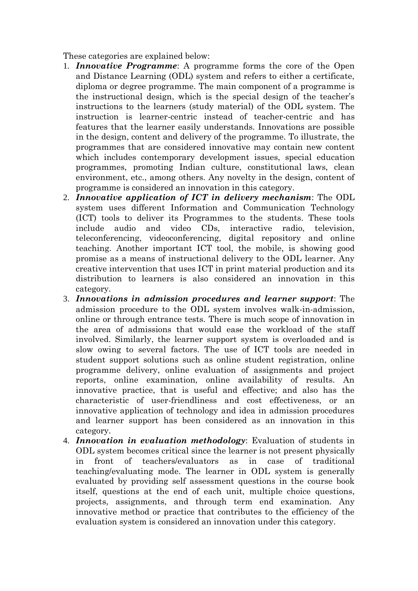These categories are explained below:

- 1. *Innovative Programme*: A programme forms the core of the Open and Distance Learning (ODL) system and refers to either a certificate, diploma or degree programme. The main component of a programme is the instructional design, which is the special design of the teacher's instructions to the learners (study material) of the ODL system. The instruction is learner-centric instead of teacher-centric and has features that the learner easily understands. Innovations are possible in the design, content and delivery of the programme. To illustrate, the programmes that are considered innovative may contain new content which includes contemporary development issues, special education programmes, promoting Indian culture, constitutional laws, clean environment, etc., among others. Any novelty in the design, content of programme is considered an innovation in this category.
- 2. *Innovative application of ICT in delivery mechanism*: The ODL system uses different Information and Communication Technology (ICT) tools to deliver its Programmes to the students. These tools include audio and video CDs, interactive radio, television, teleconferencing, videoconferencing, digital repository and online teaching. Another important ICT tool, the mobile, is showing good promise as a means of instructional delivery to the ODL learner. Any creative intervention that uses ICT in print material production and its distribution to learners is also considered an innovation in this category.
- 3. *Innovations in admission procedures and learner support*: The admission procedure to the ODL system involves walk-in-admission, online or through entrance tests. There is much scope of innovation in the area of admissions that would ease the workload of the staff involved. Similarly, the learner support system is overloaded and is slow owing to several factors. The use of ICT tools are needed in student support solutions such as online student registration, online programme delivery, online evaluation of assignments and project reports, online examination, online availability of results. An innovative practice, that is useful and effective; and also has the characteristic of user-friendliness and cost effectiveness, or an innovative application of technology and idea in admission procedures and learner support has been considered as an innovation in this category.
- 4. *Innovation in evaluation methodology*: Evaluation of students in ODL system becomes critical since the learner is not present physically in front of teachers/evaluators as in case of traditional teaching/evaluating mode. The learner in ODL system is generally evaluated by providing self assessment questions in the course book itself, questions at the end of each unit, multiple choice questions, projects, assignments, and through term end examination. Any innovative method or practice that contributes to the efficiency of the evaluation system is considered an innovation under this category.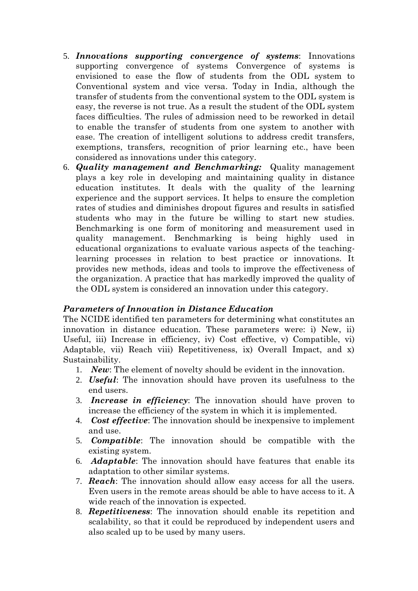- 5. *Innovations supporting convergence of systems*: Innovations supporting convergence of systems Convergence of systems is envisioned to ease the flow of students from the ODL system to Conventional system and vice versa. Today in India, although the transfer of students from the conventional system to the ODL system is easy, the reverse is not true. As a result the student of the ODL system faces difficulties. The rules of admission need to be reworked in detail to enable the transfer of students from one system to another with ease. The creation of intelligent solutions to address credit transfers, exemptions, transfers, recognition of prior learning etc., have been considered as innovations under this category.
- 6. *Quality management and Benchmarking:* Quality management plays a key role in developing and maintaining quality in distance education institutes. It deals with the quality of the learning experience and the support services. It helps to ensure the completion rates of studies and diminishes dropout figures and results in satisfied students who may in the future be willing to start new studies. Benchmarking is one form of monitoring and measurement used in quality management. Benchmarking is being highly used in educational organizations to evaluate various aspects of the teachinglearning processes in relation to best practice or innovations. It provides new methods, ideas and tools to improve the effectiveness of the organization. A practice that has markedly improved the quality of the ODL system is considered an innovation under this category.

#### *Parameters of Innovation in Distance Education*

The NCIDE identified ten parameters for determining what constitutes an innovation in distance education. These parameters were: i) New, ii) Useful, iii) Increase in efficiency, iv) Cost effective, v) Compatible, vi) Adaptable, vii) Reach viii) Repetitiveness, ix) Overall Impact, and x) Sustainability.

- 1. *New*: The element of novelty should be evident in the innovation.
- 2. *Useful*: The innovation should have proven its usefulness to the end users.
- 3. *Increase in efficiency*: The innovation should have proven to increase the efficiency of the system in which it is implemented.
- 4. *Cost effective*: The innovation should be inexpensive to implement and use.
- 5. *Compatible*: The innovation should be compatible with the existing system.
- 6. *Adaptable*: The innovation should have features that enable its adaptation to other similar systems.
- 7. *Reach*: The innovation should allow easy access for all the users. Even users in the remote areas should be able to have access to it. A wide reach of the innovation is expected.
- 8. *Repetitiveness*: The innovation should enable its repetition and scalability, so that it could be reproduced by independent users and also scaled up to be used by many users.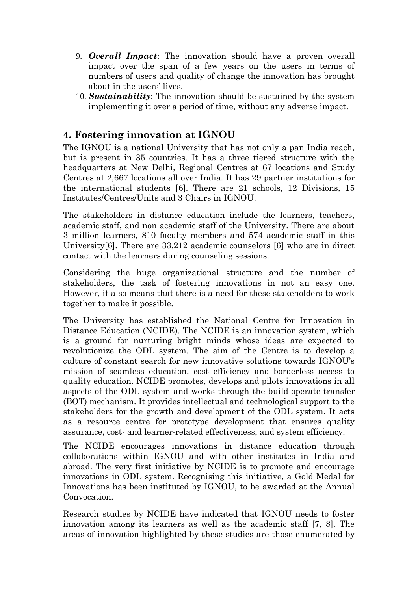- 9. *Overall Impact*: The innovation should have a proven overall impact over the span of a few years on the users in terms of numbers of users and quality of change the innovation has brought about in the users' lives.
- 10. *Sustainability*: The innovation should be sustained by the system implementing it over a period of time, without any adverse impact.

### **4. Fostering innovation at IGNOU**

The IGNOU is a national University that has not only a pan India reach, but is present in 35 countries. It has a three tiered structure with the headquarters at New Delhi, Regional Centres at 67 locations and Study Centres at 2,667 locations all over India. It has 29 partner institutions for the international students [6]. There are 21 schools, 12 Divisions, 15 Institutes/Centres/Units and 3 Chairs in IGNOU.

The stakeholders in distance education include the learners, teachers, academic staff, and non academic staff of the University. There are about 3 million learners, 810 faculty members and 574 academic staff in this University[6]. There are 33,212 academic counselors [6] who are in direct contact with the learners during counseling sessions.

Considering the huge organizational structure and the number of stakeholders, the task of fostering innovations in not an easy one. However, it also means that there is a need for these stakeholders to work together to make it possible.

The University has established the National Centre for Innovation in Distance Education (NCIDE). The NCIDE is an innovation system, which is a ground for nurturing bright minds whose ideas are expected to revolutionize the ODL system. The aim of the Centre is to develop a culture of constant search for new innovative solutions towards IGNOU's mission of seamless education, cost efficiency and borderless access to quality education. NCIDE promotes, develops and pilots innovations in all aspects of the ODL system and works through the build-operate-transfer (BOT) mechanism. It provides intellectual and technological support to the stakeholders for the growth and development of the ODL system. It acts as a resource centre for prototype development that ensures quality assurance, cost- and learner-related effectiveness, and system efficiency.

The NCIDE encourages innovations in distance education through collaborations within IGNOU and with other institutes in India and abroad. The very first initiative by NCIDE is to promote and encourage innovations in ODL system. Recognising this initiative, a Gold Medal for Innovations has been instituted by IGNOU, to be awarded at the Annual **Convocation** 

Research studies by NCIDE have indicated that IGNOU needs to foster innovation among its learners as well as the academic staff [7, 8]. The areas of innovation highlighted by these studies are those enumerated by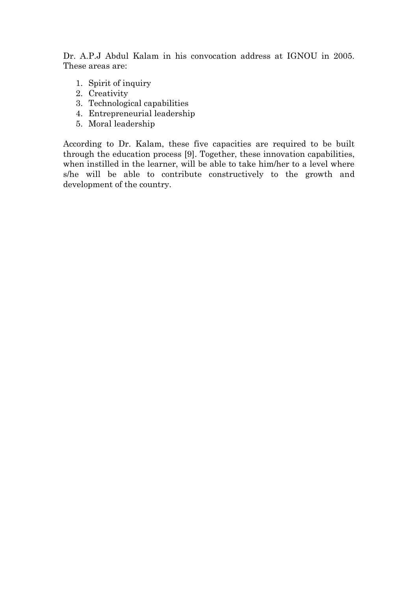Dr. A.P.J Abdul Kalam in his convocation address at IGNOU in 2005. These areas are:

- 1. Spirit of inquiry
- 2. Creativity
- 3. Technological capabilities
- 4. Entrepreneurial leadership
- 5. Moral leadership

According to Dr. Kalam, these five capacities are required to be built through the education process [9]. Together, these innovation capabilities, when instilled in the learner, will be able to take him/her to a level where s/he will be able to contribute constructively to the growth and development of the country.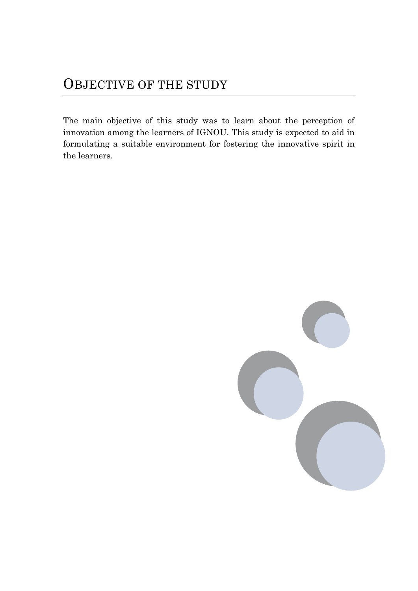# OBJECTIVE OF THE STUDY

The main objective of this study was to learn about the perception of innovation among the learners of IGNOU. This study is expected to aid in formulating a suitable environment for fostering the innovative spirit in the learners.

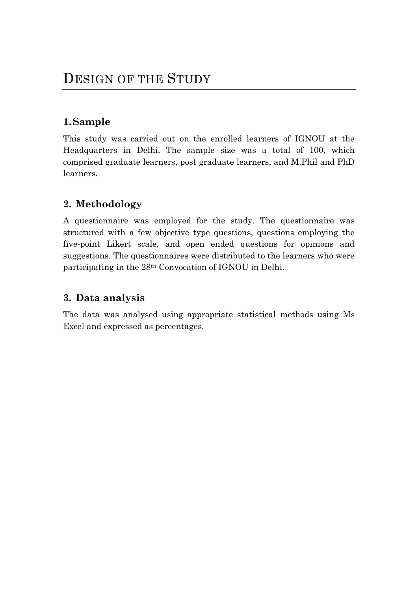# **1.Sample**

This study was carried out on the enrolled learners of IGNOU at the Headquarters in Delhi. The sample size was a total of 100, which comprised graduate learners, post graduate learners, and M.Phil and PhD learners.

# **2. Methodology**

A questionnaire was employed for the study. The questionnaire was structured with a few objective type questions, questions employing the five-point Likert scale, and open ended questions for opinions and suggestions. The questionnaires were distributed to the learners who were participating in the 28th Convocation of IGNOU in Delhi.

# **3. Data analysis**

The data was analysed using appropriate statistical methods using Ms Excel and expressed as percentages.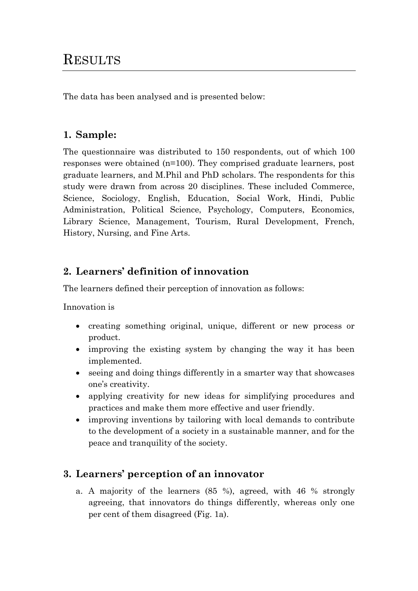# **RESULTS**

The data has been analysed and is presented below:

# **1. Sample:**

The questionnaire was distributed to 150 respondents, out of which 100 responses were obtained (n=100). They comprised graduate learners, post graduate learners, and M.Phil and PhD scholars. The respondents for this study were drawn from across 20 disciplines. These included Commerce, Science, Sociology, English, Education, Social Work, Hindi, Public Administration, Political Science, Psychology, Computers, Economics, Library Science, Management, Tourism, Rural Development, French, History, Nursing, and Fine Arts.

# **2. Learners' definition of innovation**

The learners defined their perception of innovation as follows:

Innovation is

- creating something original, unique, different or new process or product.
- improving the existing system by changing the way it has been implemented.
- seeing and doing things differently in a smarter way that showcases one's creativity.
- applying creativity for new ideas for simplifying procedures and practices and make them more effective and user friendly.
- improving inventions by tailoring with local demands to contribute to the development of a society in a sustainable manner, and for the peace and tranquility of the society.

# **3. Learners' perception of an innovator**

a. A majority of the learners (85 %), agreed, with 46 % strongly agreeing, that innovators do things differently, whereas only one per cent of them disagreed (Fig. 1a).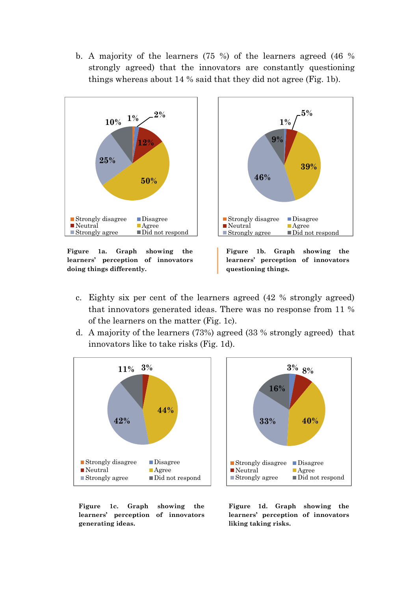b. A majority of the learners (75 %) of the learners agreed (46 % strongly agreed) that the innovators are constantly questioning things whereas about 14 % said that they did not agree (Fig. 1b).



**learners' perception of innovators doing things differently.**



- c. Eighty six per cent of the learners agreed (42 % strongly agreed) that innovators generated ideas. There was no response from 11 % of the learners on the matter (Fig. 1c).
- d. A majority of the learners (73%) agreed (33 % strongly agreed) that innovators like to take risks (Fig. 1d).





**Figure 1c. Graph showing the learners' perception of innovators generating ideas.**

**Figure 1d. Graph showing the learners' perception of innovators liking taking risks.**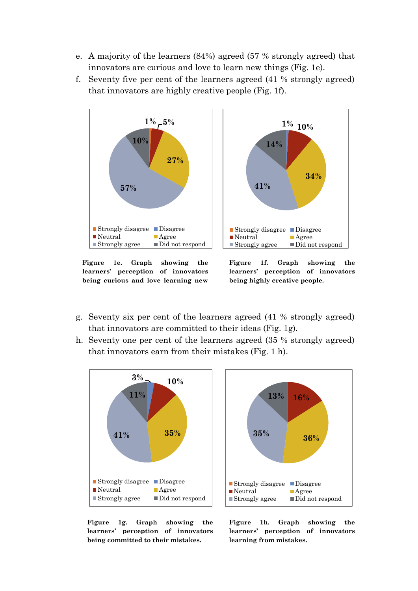- e. A majority of the learners (84%) agreed (57 % strongly agreed) that innovators are curious and love to learn new things (Fig. 1e).
- f. Seventy five per cent of the learners agreed (41 % strongly agreed) that innovators are highly creative people (Fig. 1f).



**Figure 1e. Graph showing the learners' perception of innovators being curious and love learning new** 

**Figure 1f. Graph showing the learners' perception of innovators being highly creative people.**

- g. Seventy six per cent of the learners agreed (41 % strongly agreed) that innovators are committed to their ideas (Fig. 1g).
- h. Seventy one per cent of the learners agreed (35 % strongly agreed) that innovators earn from their mistakes (Fig. 1 h).





**Figure 1g. Graph showing the learners' perception of innovators being committed to their mistakes.**

**Figure 1h. Graph showing the learners' perception of innovators learning from mistakes.**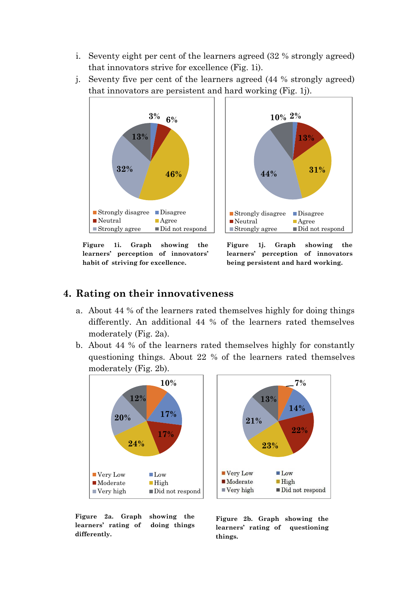- i. Seventy eight per cent of the learners agreed (32 % strongly agreed) that innovators strive for excellence (Fig. 1i).
- j. Seventy five per cent of the learners agreed (44 % strongly agreed) that innovators are persistent and hard working (Fig. 1j).



**Figure 1i. Graph showing the learners' perception of innovators' habit of striving for excellence.**

**Figure 1j. Graph showing the learners' perception of innovators being persistent and hard working.**

#### **4. Rating on their innovativeness**

- a. About 44 % of the learners rated themselves highly for doing things differently. An additional 44 % of the learners rated themselves moderately (Fig. 2a).
- b. About 44 % of the learners rated themselves highly for constantly questioning things. About 22 % of the learners rated themselves moderately (Fig. 2b).





**Figure 2a. Graph showing the learners' rating of doing things differently.**

**Figure 2b. Graph showing the learners' rating of questioning things.**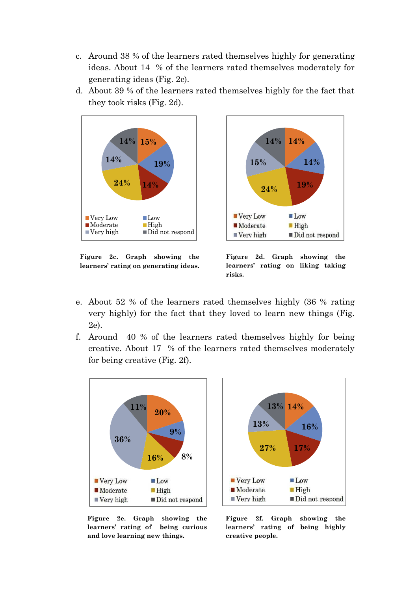- c. Around 38 % of the learners rated themselves highly for generating ideas. About 14 % of the learners rated themselves moderately for generating ideas (Fig. 2c).
- d. About 39 % of the learners rated themselves highly for the fact that they took risks (Fig. 2d).



**Figure 2c. Graph showing the learners' rating on generating ideas.**



- e. About 52 % of the learners rated themselves highly (36 % rating very highly) for the fact that they loved to learn new things (Fig. 2e).
- f. Around 40 % of the learners rated themselves highly for being creative. About 17 % of the learners rated themselves moderately for being creative (Fig. 2f).



**11% 13% 14% 13% 16% 27% 17%** Very Low **Low**  $\blacksquare$  Moderate **High**  $\blacksquare$  Very high Did not respond

**Figure 2e. Graph showing the learners' rating of being curious and love learning new things.**

**Figure 2f. Graph showing the learners' rating of being highly creative people.**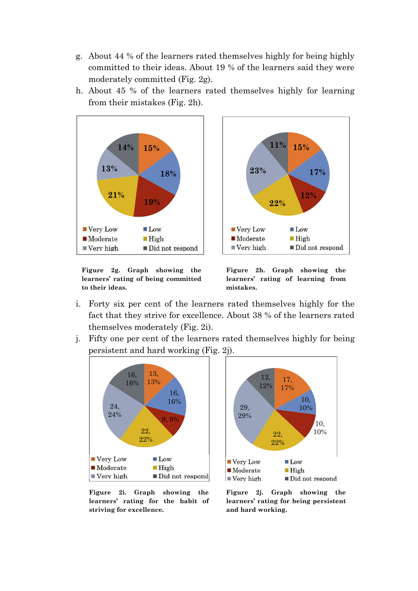- g. About 44 % of the learners rated themselves highly for being highly committed to their ideas. About 19 % of the learners said they were moderately committed (Fig. 2g).
- h. About 45 % of the learners rated themselves highly for learning from their mistakes (Fig. 2h).



**Figure 2g. Graph showing the learners' rating of being committed to their ideas.**

**Figure 2h. Graph showing the learners' rating of learning from mistakes.**

- i. Forty six per cent of the learners rated themselves highly for the fact that they strive for excellence. About 38 % of the learners rated themselves moderately (Fig. 2i).
- j. Fifty one per cent of the learners rated themselves highly for being persistent and hard working (Fig. 2j).





**Figure 2i. Graph showing the learners' rating for the habit of striving for excellence.**

**Figure 2j. Graph showing the learners' rating for being persistent and hard working.**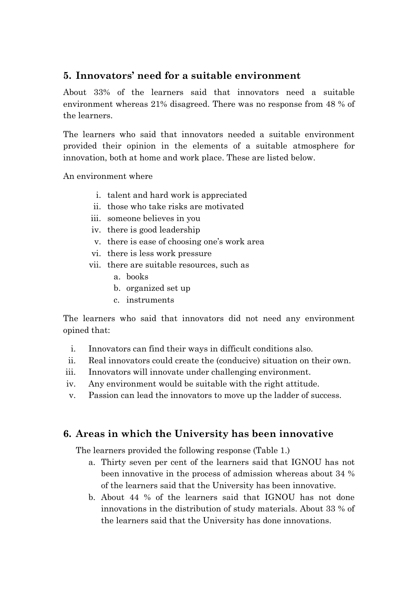### **5. Innovators' need for a suitable environment**

About 33% of the learners said that innovators need a suitable environment whereas 21% disagreed. There was no response from 48 % of the learners.

The learners who said that innovators needed a suitable environment provided their opinion in the elements of a suitable atmosphere for innovation, both at home and work place. These are listed below.

An environment where

- i. talent and hard work is appreciated
- ii. those who take risks are motivated
- iii. someone believes in you
- iv. there is good leadership
- v. there is ease of choosing one's work area
- vi. there is less work pressure
- vii. there are suitable resources, such as
	- a. books
	- b. organized set up
	- c. instruments

The learners who said that innovators did not need any environment opined that:

- i. Innovators can find their ways in difficult conditions also.
- ii. Real innovators could create the (conducive) situation on their own.
- iii. Innovators will innovate under challenging environment.
- iv. Any environment would be suitable with the right attitude.
- v. Passion can lead the innovators to move up the ladder of success.

#### **6. Areas in which the University has been innovative**

The learners provided the following response (Table 1.)

- a. Thirty seven per cent of the learners said that IGNOU has not been innovative in the process of admission whereas about 34 % of the learners said that the University has been innovative.
- b. About 44 % of the learners said that IGNOU has not done innovations in the distribution of study materials. About 33 % of the learners said that the University has done innovations.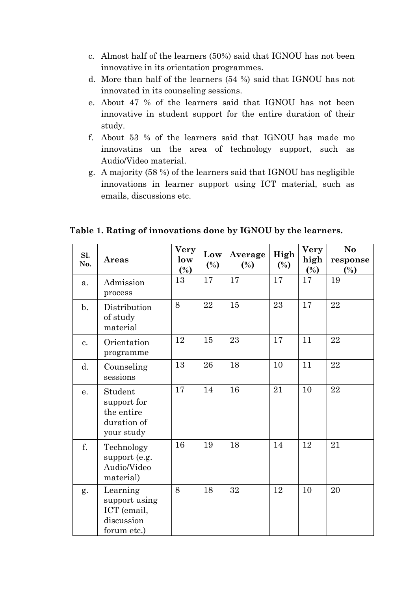- c. Almost half of the learners (50%) said that IGNOU has not been innovative in its orientation programmes.
- d. More than half of the learners (54 %) said that IGNOU has not innovated in its counseling sessions.
- e. About 47 % of the learners said that IGNOU has not been innovative in student support for the entire duration of their study.
- f. About 53 % of the learners said that IGNOU has made mo innovatins un the area of technology support, such as Audio/Video material.
- g. A majority (58 %) of the learners said that IGNOU has negligible innovations in learner support using ICT material, such as emails, discussions etc.

|  | Table 1. Rating of innovations done by IGNOU by the learners. |
|--|---------------------------------------------------------------|
|--|---------------------------------------------------------------|

| Sl.<br>No.     | <b>Areas</b>                                                          | Very<br>low<br>$(\%)$ | Low<br>$(\%)$ | Average<br>$(\%)$ | High<br>$(\%)$ | <b>Very</b><br>high<br>$(\%)$ | N <sub>o</sub><br>response<br>$(\%)$ |
|----------------|-----------------------------------------------------------------------|-----------------------|---------------|-------------------|----------------|-------------------------------|--------------------------------------|
| a.             | Admission<br>process                                                  | 13                    | 17            | 17                | 17             | 17                            | 19                                   |
| $\mathbf{b}$ . | Distribution<br>of study<br>material                                  | 8                     | 22            | 15                | 23             | 17                            | 22                                   |
| c.             | Orientation<br>programme                                              | 12                    | 15            | 23                | 17             | 11                            | 22                                   |
| d.             | Counseling<br>sessions                                                | 13                    | 26            | 18                | 10             | 11                            | 22                                   |
| e.             | Student<br>support for<br>the entire<br>duration of<br>your study     | 17                    | 14            | 16                | 21             | 10                            | 22                                   |
| f.             | Technology<br>support (e.g.<br>Audio/Video<br>material)               | 16                    | 19            | 18                | 14             | 12                            | 21                                   |
| g.             | Learning<br>support using<br>ICT (email,<br>discussion<br>forum etc.) | 8                     | 18            | 32                | 12             | 10                            | 20                                   |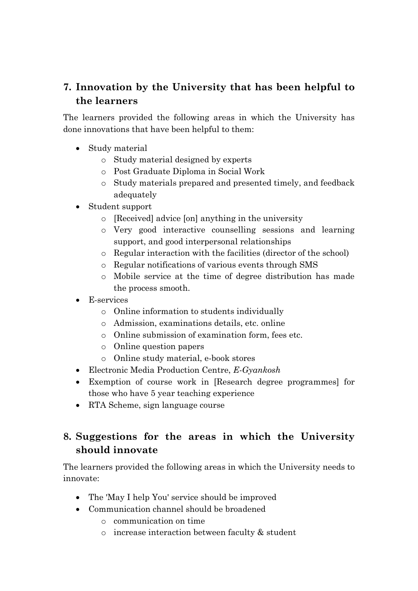# **7. Innovation by the University that has been helpful to the learners**

The learners provided the following areas in which the University has done innovations that have been helpful to them:

- Study material
	- o Study material designed by experts
	- o Post Graduate Diploma in Social Work
	- o Study materials prepared and presented timely, and feedback adequately
- Student support
	- o [Received] advice [on] anything in the university
	- o Very good interactive counselling sessions and learning support, and good interpersonal relationships
	- o Regular interaction with the facilities (director of the school)
	- o Regular notifications of various events through SMS
	- o Mobile service at the time of degree distribution has made the process smooth.
- E-services
	- o Online information to students individually
	- o Admission, examinations details, etc. online
	- o Online submission of examination form, fees etc.
	- o Online question papers
	- o Online study material, e-book stores
- Electronic Media Production Centre, *E-Gyankosh*
- Exemption of course work in [Research degree programmes] for those who have 5 year teaching experience
- RTA Scheme, sign language course

# **8. Suggestions for the areas in which the University should innovate**

The learners provided the following areas in which the University needs to innovate:

- The 'May I help You' service should be improved
- Communication channel should be broadened
	- o communication on time
	- o increase interaction between faculty & student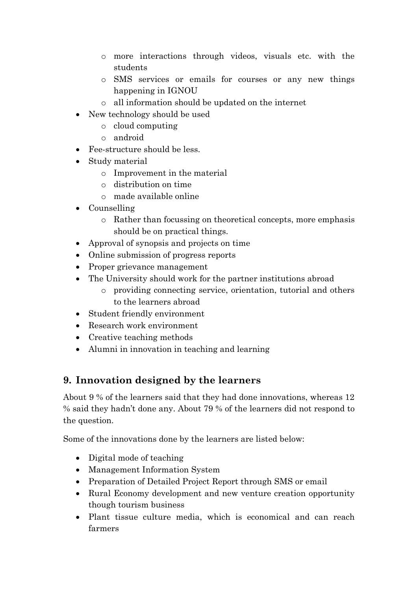- o more interactions through videos, visuals etc. with the students
- o SMS services or emails for courses or any new things happening in IGNOU
- o all information should be updated on the internet
- New technology should be used
	- o cloud computing
	- o android
- Fee-structure should be less.
- Study material
	- o Improvement in the material
	- o distribution on time
	- o made available online
- Counselling
	- o Rather than focussing on theoretical concepts, more emphasis should be on practical things.
- Approval of synopsis and projects on time
- Online submission of progress reports
- Proper grievance management
- The University should work for the partner institutions abroad
	- o providing connecting service, orientation, tutorial and others to the learners abroad
- Student friendly environment
- Research work environment
- Creative teaching methods
- Alumni in innovation in teaching and learning

# **9. Innovation designed by the learners**

About 9 % of the learners said that they had done innovations, whereas 12 % said they hadn't done any. About 79 % of the learners did not respond to the question.

Some of the innovations done by the learners are listed below:

- Digital mode of teaching
- Management Information System
- Preparation of Detailed Project Report through SMS or email
- Rural Economy development and new venture creation opportunity though tourism business
- Plant tissue culture media, which is economical and can reach farmers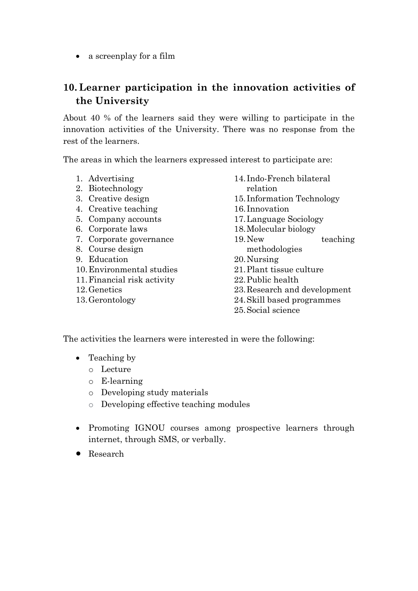• a screenplay for a film

# **10. Learner participation in the innovation activities of the University**

About 40 % of the learners said they were willing to participate in the innovation activities of the University. There was no response from the rest of the learners.

The areas in which the learners expressed interest to participate are:

- 1. Advertising
- 2. Biotechnology
- 3. Creative design
- 4. Creative teaching
- 5. Company accounts
- 6. Corporate laws
- 7. Corporate governance
- 8. Course design
- 9. Education
- 10.Environmental studies
- 11.Financial risk activity
- 12.Genetics
- 13.Gerontology
- 14. Indo-French bilateral relation
- 15. Information Technology
- 16. Innovation
- 17.Language Sociology
- 18.Molecular biology
- 19.New teaching methodologies
- 20.Nursing
- 21.Plant tissue culture
- 22.Public health
- 23.Research and development
- 24.Skill based programmes
- 25.Social science

The activities the learners were interested in were the following:

- Teaching by
	- o Lecture
	- o E-learning
	- o Developing study materials
	- o Developing effective teaching modules
- Promoting IGNOU courses among prospective learners through internet, through SMS, or verbally.
- Research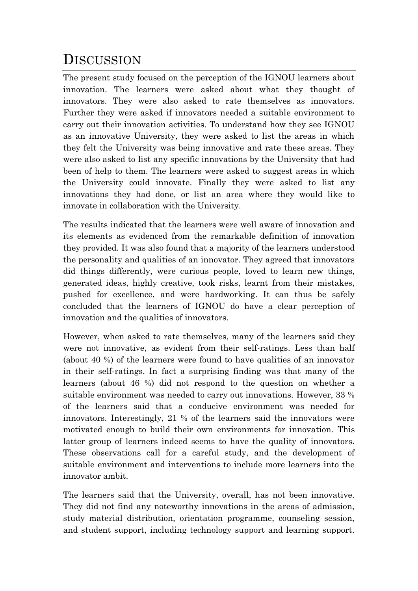# **DISCUSSION**

The present study focused on the perception of the IGNOU learners about innovation. The learners were asked about what they thought of innovators. They were also asked to rate themselves as innovators. Further they were asked if innovators needed a suitable environment to carry out their innovation activities. To understand how they see IGNOU as an innovative University, they were asked to list the areas in which they felt the University was being innovative and rate these areas. They were also asked to list any specific innovations by the University that had been of help to them. The learners were asked to suggest areas in which the University could innovate. Finally they were asked to list any innovations they had done, or list an area where they would like to innovate in collaboration with the University.

The results indicated that the learners were well aware of innovation and its elements as evidenced from the remarkable definition of innovation they provided. It was also found that a majority of the learners understood the personality and qualities of an innovator. They agreed that innovators did things differently, were curious people, loved to learn new things, generated ideas, highly creative, took risks, learnt from their mistakes, pushed for excellence, and were hardworking. It can thus be safely concluded that the learners of IGNOU do have a clear perception of innovation and the qualities of innovators.

However, when asked to rate themselves, many of the learners said they were not innovative, as evident from their self-ratings. Less than half (about 40 %) of the learners were found to have qualities of an innovator in their self-ratings. In fact a surprising finding was that many of the learners (about 46 %) did not respond to the question on whether a suitable environment was needed to carry out innovations. However, 33 % of the learners said that a conducive environment was needed for innovators. Interestingly, 21 % of the learners said the innovators were motivated enough to build their own environments for innovation. This latter group of learners indeed seems to have the quality of innovators. These observations call for a careful study, and the development of suitable environment and interventions to include more learners into the innovator ambit.

The learners said that the University, overall, has not been innovative. They did not find any noteworthy innovations in the areas of admission, study material distribution, orientation programme, counseling session, and student support, including technology support and learning support.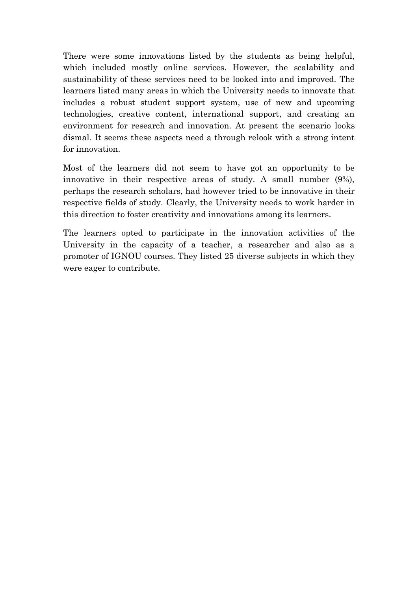There were some innovations listed by the students as being helpful, which included mostly online services. However, the scalability and sustainability of these services need to be looked into and improved. The learners listed many areas in which the University needs to innovate that includes a robust student support system, use of new and upcoming technologies, creative content, international support, and creating an environment for research and innovation. At present the scenario looks dismal. It seems these aspects need a through relook with a strong intent for innovation.

Most of the learners did not seem to have got an opportunity to be innovative in their respective areas of study. A small number (9%), perhaps the research scholars, had however tried to be innovative in their respective fields of study. Clearly, the University needs to work harder in this direction to foster creativity and innovations among its learners.

The learners opted to participate in the innovation activities of the University in the capacity of a teacher, a researcher and also as a promoter of IGNOU courses. They listed 25 diverse subjects in which they were eager to contribute.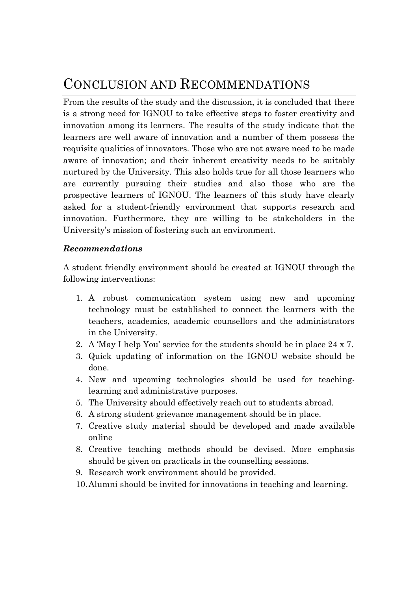# CONCLUSION AND RECOMMENDATIONS

From the results of the study and the discussion, it is concluded that there is a strong need for IGNOU to take effective steps to foster creativity and innovation among its learners. The results of the study indicate that the learners are well aware of innovation and a number of them possess the requisite qualities of innovators. Those who are not aware need to be made aware of innovation; and their inherent creativity needs to be suitably nurtured by the University. This also holds true for all those learners who are currently pursuing their studies and also those who are the prospective learners of IGNOU. The learners of this study have clearly asked for a student-friendly environment that supports research and innovation. Furthermore, they are willing to be stakeholders in the University's mission of fostering such an environment.

#### *Recommendations*

A student friendly environment should be created at IGNOU through the following interventions:

- 1. A robust communication system using new and upcoming technology must be established to connect the learners with the teachers, academics, academic counsellors and the administrators in the University.
- 2. A 'May I help You' service for the students should be in place 24 x 7.
- 3. Quick updating of information on the IGNOU website should be done.
- 4. New and upcoming technologies should be used for teachinglearning and administrative purposes.
- 5. The University should effectively reach out to students abroad.
- 6. A strong student grievance management should be in place.
- 7. Creative study material should be developed and made available online
- 8. Creative teaching methods should be devised. More emphasis should be given on practicals in the counselling sessions.
- 9. Research work environment should be provided.
- 10.Alumni should be invited for innovations in teaching and learning.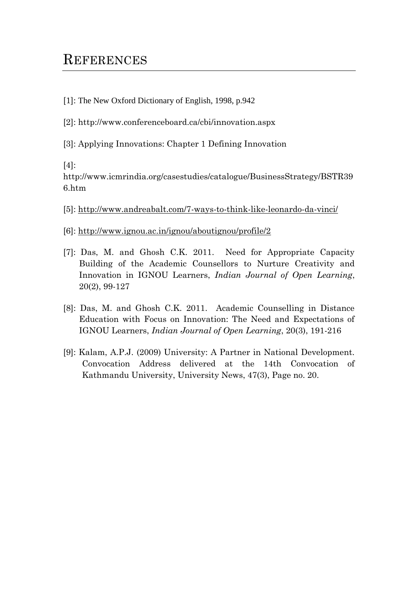# **REFERENCES**

- [1]: The New Oxford Dictionary of English, 1998, p.942
- [2]: http://www.conferenceboard.ca/cbi/innovation.aspx
- [3]: Applying Innovations: Chapter 1 Defining Innovation

 $[4]$ :

http://www.icmrindia.org/casestudies/catalogue/BusinessStrategy/BSTR39 6.htm

- [5]:<http://www.andreabalt.com/7-ways-to-think-like-leonardo-da-vinci/>
- [6]:<http://www.ignou.ac.in/ignou/aboutignou/profile/2>
- [7]: Das, M. and Ghosh C.K. 2011. Need for Appropriate Capacity Building of the Academic Counsellors to Nurture Creativity and Innovation in IGNOU Learners, *Indian Journal of Open Learning*, 20(2), 99-127
- [8]: Das, M. and Ghosh C.K. 2011. Academic Counselling in Distance Education with Focus on Innovation: The Need and Expectations of IGNOU Learners, *Indian Journal of Open Learning*, 20(3), 191-216
- [9]: Kalam, A.P.J. (2009) University: A Partner in National Development. Convocation Address delivered at the 14th Convocation of Kathmandu University, University News, 47(3), Page no. 20.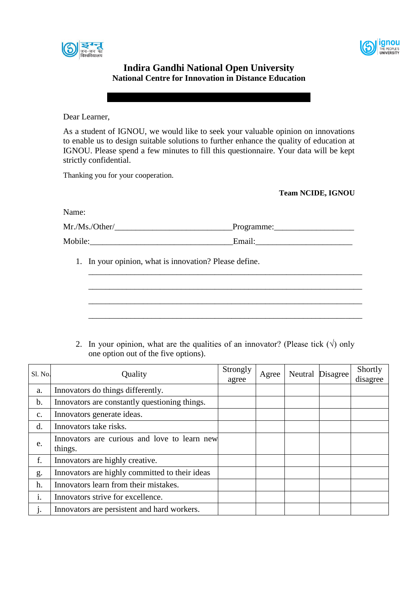



#### **Indira Gandhi National Open University National Centre for Innovation in Distance Education**

Dear Learner,

As a student of IGNOU, we would like to seek your valuable opinion on innovations to enable us to design suitable solutions to further enhance the quality of education at IGNOU. Please spend a few minutes to fill this questionnaire. Your data will be kept strictly confidential.

Thanking you for your cooperation.

**Team NCIDE, IGNOU**

Name:

| Mr./Ms./Other/ | Programme: |
|----------------|------------|
| Mobile:        | Email:     |

1. In your opinion, what is innovation? Please define.

2. In your opinion, what are the qualities of an innovator? (Please tick  $(\sqrt{})$ ) only one option out of the five options).

\_\_\_\_\_\_\_\_\_\_\_\_\_\_\_\_\_\_\_\_\_\_\_\_\_\_\_\_\_\_\_\_\_\_\_\_\_\_\_\_\_\_\_\_\_\_\_\_\_\_\_\_\_\_\_\_\_\_\_\_\_\_\_\_\_

\_\_\_\_\_\_\_\_\_\_\_\_\_\_\_\_\_\_\_\_\_\_\_\_\_\_\_\_\_\_\_\_\_\_\_\_\_\_\_\_\_\_\_\_\_\_\_\_\_\_\_\_\_\_\_\_\_\_\_\_\_\_\_\_\_

\_\_\_\_\_\_\_\_\_\_\_\_\_\_\_\_\_\_\_\_\_\_\_\_\_\_\_\_\_\_\_\_\_\_\_\_\_\_\_\_\_\_\_\_\_\_\_\_\_\_\_\_\_\_\_\_\_\_\_\_\_\_\_\_\_

\_\_\_\_\_\_\_\_\_\_\_\_\_\_\_\_\_\_\_\_\_\_\_\_\_\_\_\_\_\_\_\_\_\_\_\_\_\_\_\_\_\_\_\_\_\_\_\_\_\_\_\_\_\_\_\_\_\_\_\_\_\_\_\_\_

| Sl. No. | Quality                                                 | Strongly<br>agree | Agree | Neutral Disagree | Shortly<br>disagree |
|---------|---------------------------------------------------------|-------------------|-------|------------------|---------------------|
|         |                                                         |                   |       |                  |                     |
| a.      | Innovators do things differently.                       |                   |       |                  |                     |
| b.      | Innovators are constantly questioning things.           |                   |       |                  |                     |
| c.      | Innovators generate ideas.                              |                   |       |                  |                     |
| d.      | Innovators take risks.                                  |                   |       |                  |                     |
| e.      | Innovators are curious and love to learn new<br>things. |                   |       |                  |                     |
| f.      | Innovators are highly creative.                         |                   |       |                  |                     |
| g.      | Innovators are highly committed to their ideas          |                   |       |                  |                     |
| h.      | Innovators learn from their mistakes.                   |                   |       |                  |                     |
| 1.      | Innovators strive for excellence.                       |                   |       |                  |                     |
| 1.      | Innovators are persistent and hard workers.             |                   |       |                  |                     |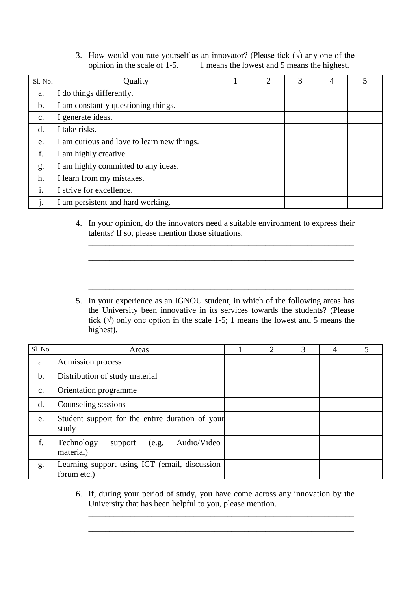#### 3. How would you rate yourself as an innovator? (Please tick  $(\sqrt{})$ ) any one of the opinion in the scale of 1-5. 1 means the lowest and 5 means the highest.

| Sl. No.        | Quality                                    | 2 | 3 | 4 |  |
|----------------|--------------------------------------------|---|---|---|--|
| a.             | I do things differently.                   |   |   |   |  |
| $\mathbf b$ .  | I am constantly questioning things.        |   |   |   |  |
| $\mathbf{c}$ . | I generate ideas.                          |   |   |   |  |
| d.             | I take risks.                              |   |   |   |  |
| e.             | I am curious and love to learn new things. |   |   |   |  |
| f.             | I am highly creative.                      |   |   |   |  |
| g.             | I am highly committed to any ideas.        |   |   |   |  |
| h.             | I learn from my mistakes.                  |   |   |   |  |
| 1.             | I strive for excellence.                   |   |   |   |  |
|                | I am persistent and hard working.          |   |   |   |  |

4. In your opinion, do the innovators need a suitable environment to express their talents? If so, please mention those situations.

\_\_\_\_\_\_\_\_\_\_\_\_\_\_\_\_\_\_\_\_\_\_\_\_\_\_\_\_\_\_\_\_\_\_\_\_\_\_\_\_\_\_\_\_\_\_\_\_\_\_\_\_\_\_\_\_\_\_\_\_\_\_\_

\_\_\_\_\_\_\_\_\_\_\_\_\_\_\_\_\_\_\_\_\_\_\_\_\_\_\_\_\_\_\_\_\_\_\_\_\_\_\_\_\_\_\_\_\_\_\_\_\_\_\_\_\_\_\_\_\_\_\_\_\_\_\_

\_\_\_\_\_\_\_\_\_\_\_\_\_\_\_\_\_\_\_\_\_\_\_\_\_\_\_\_\_\_\_\_\_\_\_\_\_\_\_\_\_\_\_\_\_\_\_\_\_\_\_\_\_\_\_\_\_\_\_\_\_\_\_

\_\_\_\_\_\_\_\_\_\_\_\_\_\_\_\_\_\_\_\_\_\_\_\_\_\_\_\_\_\_\_\_\_\_\_\_\_\_\_\_\_\_\_\_\_\_\_\_\_\_\_\_\_\_\_\_\_\_\_\_\_\_\_

5. In your experience as an IGNOU student, in which of the following areas has the University been innovative in its services towards the students? (Please tick  $(\sqrt{2})$  only one option in the scale 1-5; 1 means the lowest and 5 means the highest).

| Sl. No.        | Areas                                                        | 2 | 3 | 4 |  |
|----------------|--------------------------------------------------------------|---|---|---|--|
| a.             | Admission process                                            |   |   |   |  |
| b.             | Distribution of study material                               |   |   |   |  |
| $\mathbf{c}$ . | Orientation programme                                        |   |   |   |  |
| d.             | Counseling sessions                                          |   |   |   |  |
| e.             | Student support for the entire duration of your<br>study     |   |   |   |  |
| f.             | Audio/Video<br>Technology<br>(e.g.<br>support<br>material)   |   |   |   |  |
| g.             | Learning support using ICT (email, discussion<br>forum etc.) |   |   |   |  |

6. If, during your period of study, you have come across any innovation by the University that has been helpful to you, please mention.

\_\_\_\_\_\_\_\_\_\_\_\_\_\_\_\_\_\_\_\_\_\_\_\_\_\_\_\_\_\_\_\_\_\_\_\_\_\_\_\_\_\_\_\_\_\_\_\_\_\_\_\_\_\_\_\_\_\_\_\_\_\_\_

\_\_\_\_\_\_\_\_\_\_\_\_\_\_\_\_\_\_\_\_\_\_\_\_\_\_\_\_\_\_\_\_\_\_\_\_\_\_\_\_\_\_\_\_\_\_\_\_\_\_\_\_\_\_\_\_\_\_\_\_\_\_\_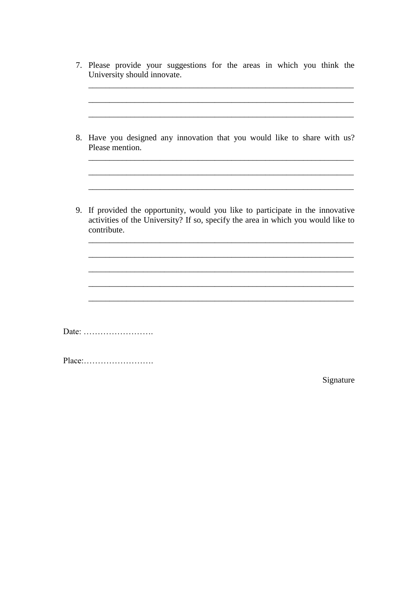| 8. | Have you designed any innovation that you would like to share with us?<br>Please mention.                                                                                       |
|----|---------------------------------------------------------------------------------------------------------------------------------------------------------------------------------|
|    |                                                                                                                                                                                 |
|    |                                                                                                                                                                                 |
| 9. | If provided the opportunity, would you like to participate in the innovative<br>activities of the University? If so, specify the area in which you would like to<br>contribute. |
|    |                                                                                                                                                                                 |
|    |                                                                                                                                                                                 |

Signature